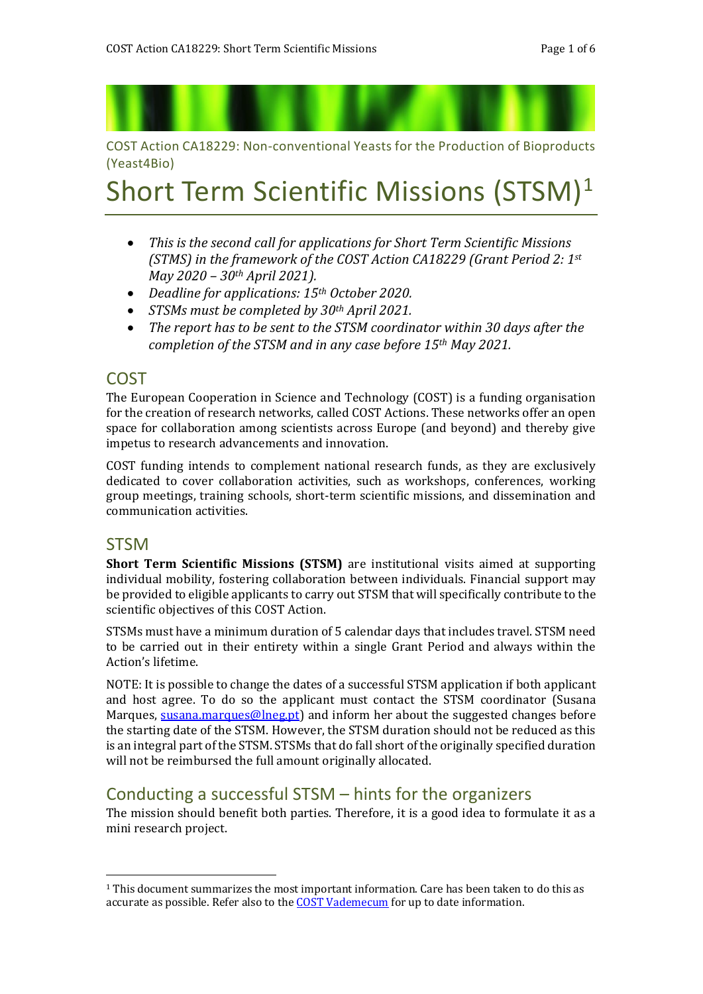COST Action CA18229: Non-conventional Yeasts for the Production of Bioproducts (Yeast4Bio)

# Short Term Scientific Missions (STSM)<sup>1</sup>

- *This is the second call for applications for Short Term Scientific Missions (STMS) in the framework of the COST Action CA18229 (Grant Period 2: 1st May 2020 – 30th April 2021).*
- *Deadline for applications: 15th October 2020.*
- *STSMs must be completed by 30th April 2021.*
- *The report has to be sent to the STSM coordinator within 30 days after the completion of the STSM and in any case before 15th May 2021.*

#### COST

The European Cooperation in Science and Technology (COST) is a funding organisation for the creation of research networks, called COST Actions. These networks offer an open space for collaboration among scientists across Europe (and beyond) and thereby give impetus to research advancements and innovation.

COST funding intends to complement national research funds, as they are exclusively dedicated to cover collaboration activities, such as workshops, conferences, working group meetings, training schools, short-term scientific missions, and dissemination and communication activities.

#### **STSM**

<u>.</u>

**Short Term Scientific Missions (STSM)** are institutional visits aimed at supporting individual mobility, fostering collaboration between individuals. Financial support may be provided to eligible applicants to carry out STSM that will specifically contribute to the scientific objectives of this COST Action.

STSMs must have a minimum duration of 5 calendar days that includes travel. STSM need to be carried out in their entirety within a single Grant Period and always within the Action's lifetime.

NOTE: It is possible to change the dates of a successful STSM application if both applicant and host agree. To do so the applicant must contact the STSM coordinator (Susana Marques, [susana.marques@lneg.pt\)](file:///C:/Users/elia.tomas/AppData/Local/Microsoft/Windows/INetCache/Content.Outlook/A86TKK8M/susana.marques@lneg.pt) and inform her about the suggested changes before the starting date of the STSM. However, the STSM duration should not be reduced as this is an integral part of the STSM. STSMs that do fall short of the originally specified duration will not be reimbursed the full amount originally allocated.

#### Conducting a successful STSM – hints for the organizers

The mission should benefit both parties. Therefore, it is a good idea to formulate it as a mini research project.

<sup>1</sup> This document summarizes the most important information. Care has been taken to do this as accurate as possible. Refer also to the **COST Vademecum** for up to date information.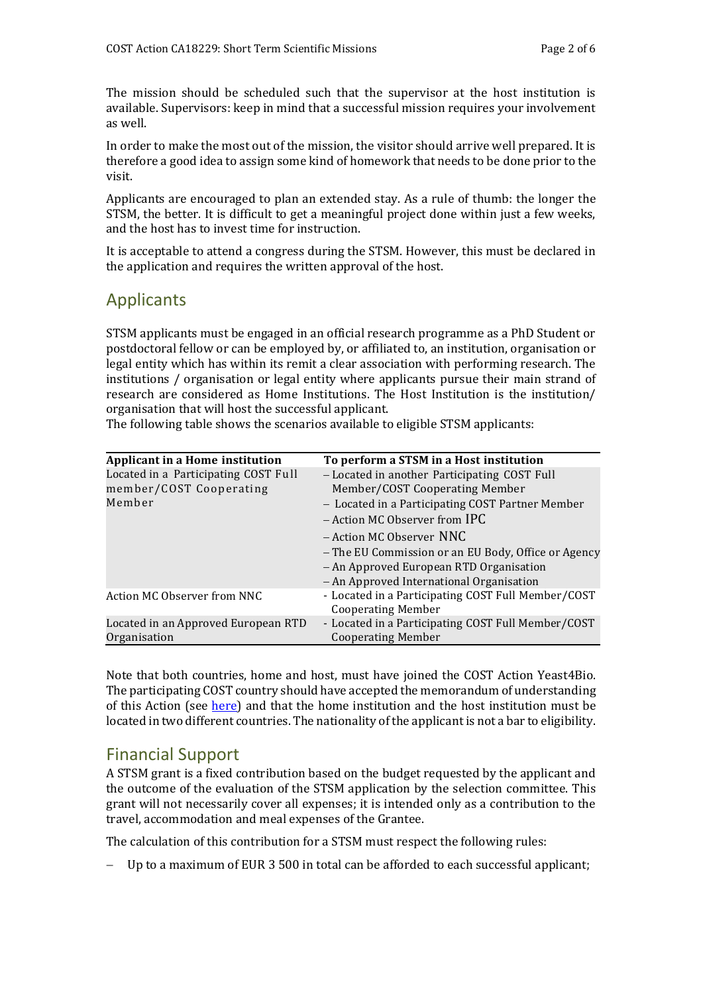The mission should be scheduled such that the supervisor at the host institution is available. Supervisors: keep in mind that a successful mission requires your involvement as well.

In order to make the most out of the mission, the visitor should arrive well prepared. It is therefore a good idea to assign some kind of homework that needs to be done prior to the visit.

Applicants are encouraged to plan an extended stay. As a rule of thumb: the longer the STSM, the better. It is difficult to get a meaningful project done within just a few weeks, and the host has to invest time for instruction.

It is acceptable to attend a congress during the STSM. However, this must be declared in the application and requires the written approval of the host.

# Applicants

STSM applicants must be engaged in an official research programme as a PhD Student or postdoctoral fellow or can be employed by, or affiliated to, an institution, organisation or legal entity which has within its remit a clear association with performing research. The institutions / organisation or legal entity where applicants pursue their main strand of research are considered as Home Institutions. The Host Institution is the institution/ organisation that will host the successful applicant.

The following table shows the scenarios available to eligible STSM applicants:

| Applicant in a Home institution      | To perform a STSM in a Host institution                                         |
|--------------------------------------|---------------------------------------------------------------------------------|
| Located in a Participating COST Full | - Located in another Participating COST Full                                    |
| member/COST Cooperating              | Member/COST Cooperating Member                                                  |
| Member                               | - Located in a Participating COST Partner Member                                |
|                                      | - Action MC Observer from IPC                                                   |
|                                      | - Action MC Observer NNC                                                        |
|                                      | - The EU Commission or an EU Body, Office or Agency                             |
|                                      | - An Approved European RTD Organisation                                         |
|                                      | - An Approved International Organisation                                        |
| Action MC Observer from NNC          | - Located in a Participating COST Full Member/COST<br><b>Cooperating Member</b> |
| Located in an Approved European RTD  | - Located in a Participating COST Full Member/COST                              |
| Organisation                         | <b>Cooperating Member</b>                                                       |

Note that both countries, home and host, must have joined the COST Action Yeast4Bio. The participating COST country should have accepted the memorandum of understanding of this Action (see [here\)](https://e-services.cost.eu/files/domain_files/CA/Action_CA18229/mou/CA18229-e.pdf) and that the home institution and the host institution must be located in two different countries. The nationality of the applicant is not a bar to eligibility.

## Financial Support

A STSM grant is a fixed contribution based on the budget requested by the applicant and the outcome of the evaluation of the STSM application by the selection committee. This grant will not necessarily cover all expenses; it is intended only as a contribution to the travel, accommodation and meal expenses of the Grantee.

The calculation of this contribution for a STSM must respect the following rules:

Up to a maximum of EUR 3 500 in total can be afforded to each successful applicant;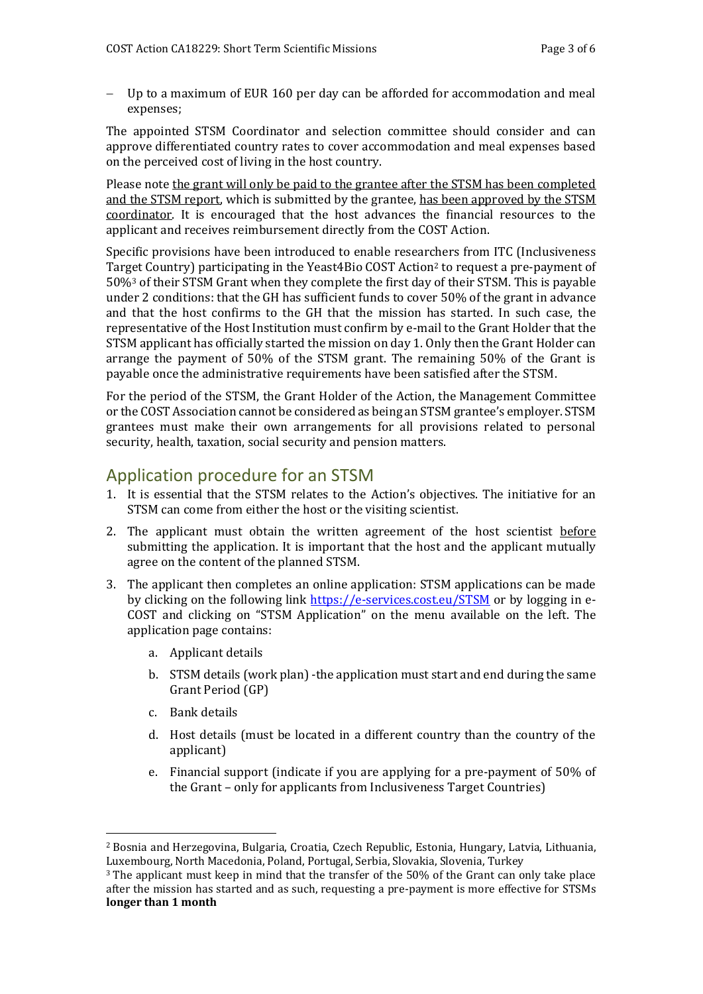Up to a maximum of EUR 160 per day can be afforded for accommodation and meal expenses;

The appointed STSM Coordinator and selection committee should consider and can approve differentiated country rates to cover accommodation and meal expenses based on the perceived cost of living in the host country.

Please note the grant will only be paid to the grantee after the STSM has been completed and the STSM report, which is submitted by the grantee, has been approved by the STSM coordinator. It is encouraged that the host advances the financial resources to the applicant and receives reimbursement directly from the COST Action.

Specific provisions have been introduced to enable researchers from ITC (Inclusiveness Target Country) participating in the Yeast4Bio COST Action<sup>2</sup> to request a pre-payment of 50%<sup>3</sup> of their STSM Grant when they complete the first day of their STSM. This is payable under 2 conditions: that the GH has sufficient funds to cover 50% of the grant in advance and that the host confirms to the GH that the mission has started. In such case, the representative of the Host Institution must confirm by e-mail to the Grant Holder that the STSM applicant has officially started the mission on day 1. Only then the Grant Holder can arrange the payment of 50% of the STSM grant. The remaining 50% of the Grant is payable once the administrative requirements have been satisfied after the STSM.

For the period of the STSM, the Grant Holder of the Action, the Management Committee or the COST Association cannot be considered as being an STSM grantee's employer. STSM grantees must make their own arrangements for all provisions related to personal security, health, taxation, social security and pension matters.

#### Application procedure for an STSM

- 1. It is essential that the STSM relates to the Action's objectives. The initiative for an STSM can come from either the host or the visiting scientist.
- 2. The applicant must obtain the written agreement of the host scientist before submitting the application. It is important that the host and the applicant mutually agree on the content of the planned STSM.
- 3. The applicant then completes an online application: STSM applications can be made by clicking on the following link<https://e-services.cost.eu/STSM> or by logging in e-COST and clicking on "STSM Application" on the menu available on the left. The application page contains:
	- a. Applicant details
	- b. STSM details (work plan) -the application must start and end during the same Grant Period (GP)
	- c. Bank details

<u>.</u>

- d. Host details (must be located in a different country than the country of the applicant)
- e. Financial support (indicate if you are applying for a pre-payment of 50% of the Grant – only for applicants from Inclusiveness Target Countries)

<sup>2</sup> Bosnia and Herzegovina, Bulgaria, Croatia, Czech Republic, Estonia, Hungary, Latvia, Lithuania, Luxembourg, North Macedonia, Poland, Portugal, Serbia, Slovakia, Slovenia, Turkey

<sup>&</sup>lt;sup>3</sup> The applicant must keep in mind that the transfer of the 50% of the Grant can only take place after the mission has started and as such, requesting a pre-payment is more effective for STSMs **longer than 1 month**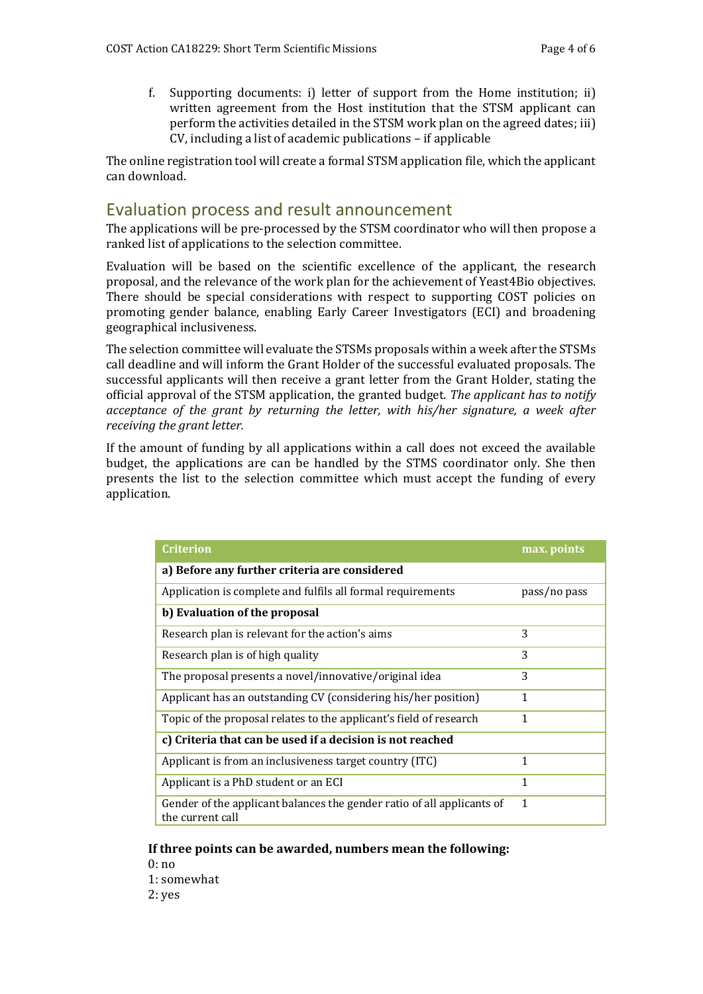f. Supporting documents: i) letter of support from the Home institution; ii) written agreement from the Host institution that the STSM applicant can perform the activities detailed in the STSM work plan on the agreed dates; iii) CV, including a list of academic publications – if applicable

The online registration tool will create a formal STSM application file, which the applicant can download.

#### Evaluation process and result announcement

The applications will be pre-processed by the STSM coordinator who will then propose a ranked list of applications to the selection committee.

Evaluation will be based on the scientific excellence of the applicant, the research proposal, and the relevance of the work plan for the achievement of Yeast4Bio objectives. There should be special considerations with respect to supporting COST policies on promoting gender balance, enabling Early Career Investigators (ECI) and broadening geographical inclusiveness.

The selection committee will evaluate the STSMs proposals within a week after the STSMs call deadline and will inform the Grant Holder of the successful evaluated proposals. The successful applicants will then receive a grant letter from the Grant Holder, stating the official approval of the STSM application, the granted budget. *The applicant has to notify acceptance of the grant by returning the letter, with his/her signature, a week after receiving the grant letter.*

If the amount of funding by all applications within a call does not exceed the available budget, the applications are can be handled by the STMS coordinator only. She then presents the list to the selection committee which must accept the funding of every application.

| Criterion                                                                                  | max. points  |  |
|--------------------------------------------------------------------------------------------|--------------|--|
| a) Before any further criteria are considered                                              |              |  |
| Application is complete and fulfils all formal requirements                                | pass/no pass |  |
| b) Evaluation of the proposal                                                              |              |  |
| Research plan is relevant for the action's aims                                            | 3            |  |
| Research plan is of high quality                                                           | 3            |  |
| The proposal presents a novel/innovative/original idea                                     | 3            |  |
| Applicant has an outstanding CV (considering his/her position)                             | 1            |  |
| Topic of the proposal relates to the applicant's field of research                         | 1            |  |
| c) Criteria that can be used if a decision is not reached                                  |              |  |
| Applicant is from an inclusiveness target country (ITC)                                    | 1            |  |
| Applicant is a PhD student or an ECI                                                       | 1            |  |
| Gender of the applicant balances the gender ratio of all applicants of<br>the current call | 1            |  |

#### **If three points can be awarded, numbers mean the following:**

0: no

1: somewhat

2: yes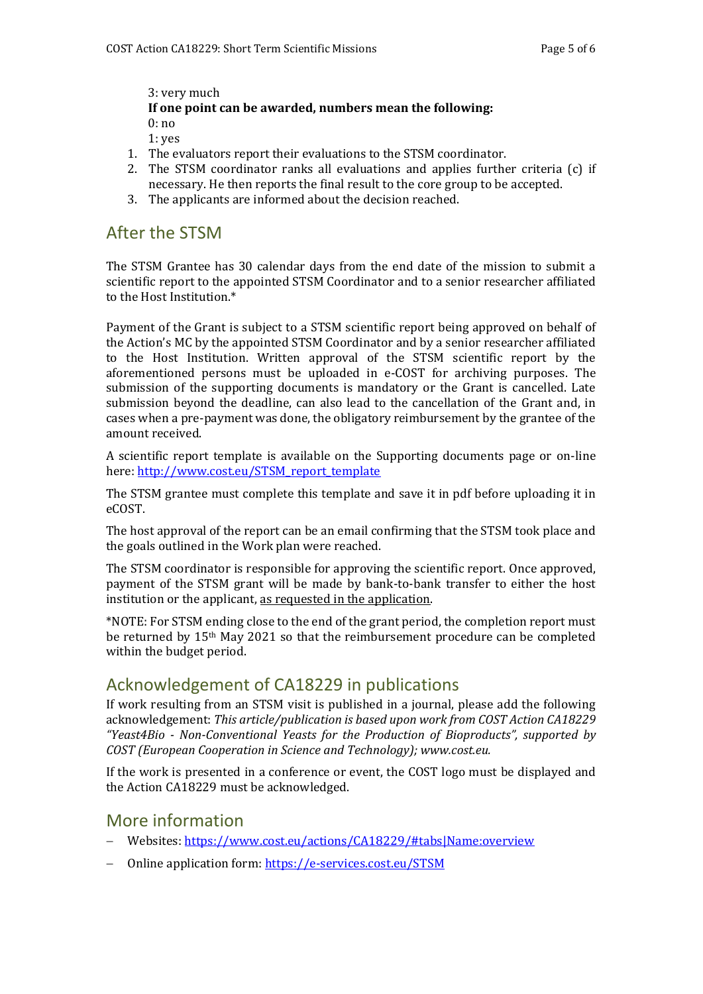3: very much **If one point can be awarded, numbers mean the following:** 0: no

- 1: yes
- 1. The evaluators report their evaluations to the STSM coordinator.
- 2. The STSM coordinator ranks all evaluations and applies further criteria (c) if necessary. He then reports the final result to the core group to be accepted.
- 3. The applicants are informed about the decision reached.

#### After the STSM

The STSM Grantee has 30 calendar days from the end date of the mission to submit a scientific report to the appointed STSM Coordinator and to a senior researcher affiliated to the Host Institution.\*

Payment of the Grant is subject to a STSM scientific report being approved on behalf of the Action's MC by the appointed STSM Coordinator and by a senior researcher affiliated to the Host Institution. Written approval of the STSM scientific report by the aforementioned persons must be uploaded in e-COST for archiving purposes. The submission of the supporting documents is mandatory or the Grant is cancelled. Late submission beyond the deadline, can also lead to the cancellation of the Grant and, in cases when a pre-payment was done, the obligatory reimbursement by the grantee of the amount received.

A scientific report template is available on the Supporting documents page or on-line here[: http://www.cost.eu/STSM\\_report\\_template](http://www.cost.eu/STSM_report_template)

The STSM grantee must complete this template and save it in pdf before uploading it in eCOST.

The host approval of the report can be an email confirming that the STSM took place and the goals outlined in the Work plan were reached.

The STSM coordinator is responsible for approving the scientific report. Once approved, payment of the STSM grant will be made by bank-to-bank transfer to either the host institution or the applicant, as requested in the application.

\*NOTE: For STSM ending close to the end of the grant period, the completion report must be returned by 15th May 2021 so that the reimbursement procedure can be completed within the budget period.

#### Acknowledgement of CA18229 in publications

If work resulting from an STSM visit is published in a journal, please add the following acknowledgement: *This article/publication is based upon work from COST Action CA18229 "Yeast4Bio - Non-Conventional Yeasts for the Production of Bioproducts", supported by COST (European Cooperation in Science and Technology); www.cost.eu.*

If the work is presented in a conference or event, the COST logo must be displayed and the Action CA18229 must be acknowledged.

## More information

- Websites:<https://www.cost.eu/actions/CA18229/#tabs|Name:overview>
- Online application form[: https://e-services.cost.eu/STSM](https://e-services.cost.eu/STSM)